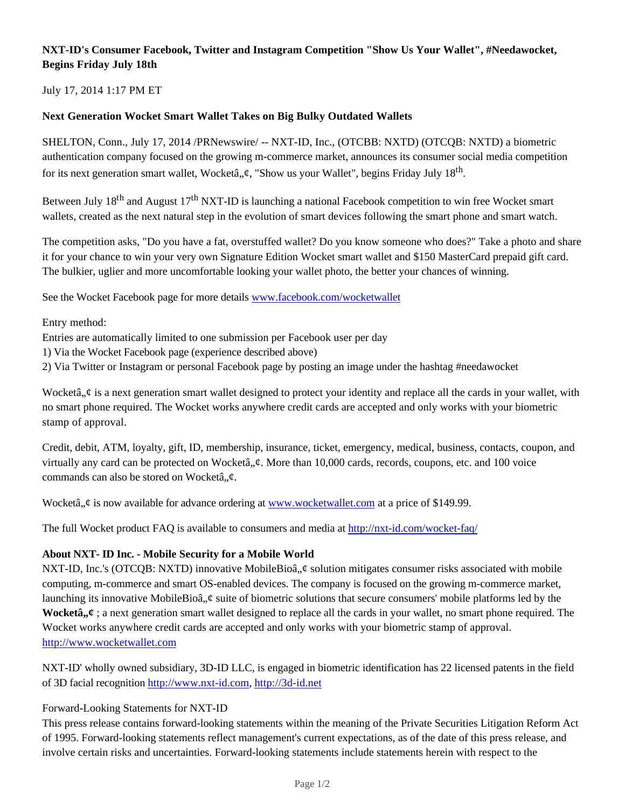## **NXT-ID's Consumer Facebook, Twitter and Instagram Competition "Show Us Your Wallet", #Needawocket, Begins Friday July 18th**

July 17, 2014 1:17 PM ET

## **Next Generation Wocket Smart Wallet Takes on Big Bulky Outdated Wallets**

SHELTON, Conn., July 17, 2014 /PRNewswire/ -- NXT-ID, Inc., (OTCBB: NXTD) (OTCQB: NXTD) a biometric authentication company focused on the growing m-commerce market, announces its consumer social media competition for its next generation smart wallet, Wocketâ,,¢, "Show us your Wallet", begins Friday July 18<sup>th</sup>.

Between July 18<sup>th</sup> and August 17<sup>th</sup> NXT-ID is launching a national Facebook competition to win free Wocket smart wallets, created as the next natural step in the evolution of smart devices following the smart phone and smart watch.

The competition asks, "Do you have a fat, overstuffed wallet? Do you know someone who does?" Take a photo and share it for your chance to win your very own Signature Edition Wocket smart wallet and \$150 MasterCard prepaid gift card. The bulkier, uglier and more uncomfortable looking your wallet photo, the better your chances of winning.

See the Wocket Facebook page for more details www.facebook.com/wocketwallet

Entry method:

Entries are automatically limited to one submission per Facebook user per day

1) Via the Wocket Facebook page (experience described above)

2) Via Twitter or Instagram or personal Facebook page by posting an image under the hashtag #needawocket

Wocketâ,  $\phi$  is a next generation smart wallet designed to protect your identity and replace all the cards in your wallet, with no smart phone required. The Wocket works anywhere credit cards are accepted and only works with your biometric stamp of approval.

Credit, debit, ATM, loyalty, gift, ID, membership, insurance, ticket, emergency, medical, business, contacts, coupon, and virtually any card can be protected on Wocketâ,  $\phi$ . More than 10,000 cards, records, coupons, etc. and 100 voice commands can also be stored on Wocketâ, $\phi$ .

Wocketâ,  $\phi$  is now available for advance ordering at www.wocketwallet.com at a price of \$149.99.

The full Wocket product FAQ is available to consumers and media at http://nxt-id.com/wocket-faq/

## **About NXT- ID Inc. - Mobile Security for a Mobile World**

NXT-ID, Inc.'s (OTCQB: NXTD) innovative MobileBioâ,  $\phi$  solution mitigates consumer risks associated with mobile computing, m-commerce and smart OS-enabled devices. The company is focused on the growing m-commerce market, launching its innovative MobileBioâ,  $\phi$  suite of biometric solutions that secure consumers' mobile platforms led by the **Wocketâ**,  $\ell$ ; a next generation smart wallet designed to replace all the cards in your wallet, no smart phone required. The Wocket works anywhere credit cards are accepted and only works with your biometric stamp of approval. http://www.wocketwallet.com

NXT-ID' wholly owned subsidiary, 3D-ID LLC, is engaged in biometric identification has 22 licensed patents in the field of 3D facial recognition http://www.nxt-id.com, http://3d-id.net

## Forward-Looking Statements for NXT-ID

This press release contains forward-looking statements within the meaning of the Private Securities Litigation Reform Act of 1995. Forward-looking statements reflect management's current expectations, as of the date of this press release, and involve certain risks and uncertainties. Forward-looking statements include statements herein with respect to the